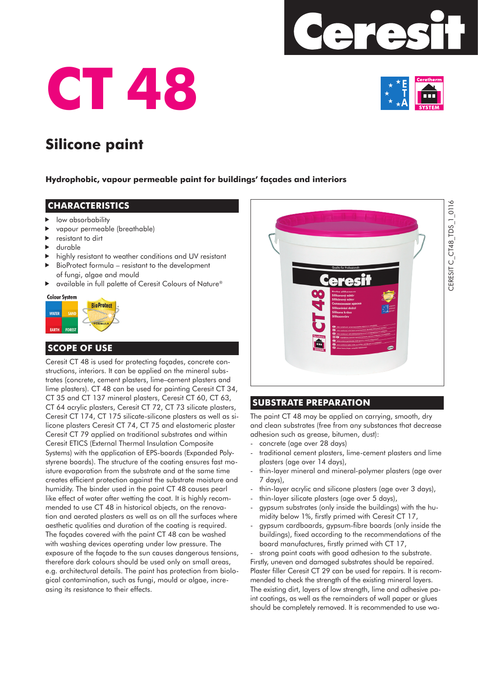





# **Silicone paint**

#### **Hydrophobic, vapour permeable paint for buildings' façades and interiors**

#### **CHARACTERISTICS**

- low absorbability
- vapour permeable (breathable)
- resistant to dirt
- durable
- highly resistant to weather conditions and UV resistant
- BioProtect formula resistant to the development of fungi, algae and mould
- ▶ available in full palette of Ceresit Colours of Nature<sup>®</sup>

#### **Colour System**



# **SCOPE OF USE**

Ceresit CT 48 is used for protecting façades, concrete constructions, interiors. It can be applied on the mineral substrates (concrete, cement plasters, lime–cement plasters and lime plasters). CT 48 can be used for painting Ceresit CT 34, CT 35 and CT 137 mineral plasters, Ceresit CT 60, CT 63, CT 64 acrylic plasters, Ceresit CT 72, CT 73 silicate plasters, Ceresit CT 174, CT 175 silicate-silicone plasters as well as silicone plasters Ceresit CT 74, CT 75 and elastomeric plaster Ceresit CT 79 applied on traditional substrates and within Ceresit ETICS (External Thermal Insulation Composite Systems) with the application of EPS-boards (Expanded Polystyrene boards). The structure of the coating ensures fast moisture evaporation from the substrate and at the same time creates efficient protection against the substrate moisture and humidity. The binder used in the paint CT 48 causes pearl like effect of water after wetting the coat. It is highly recommended to use CT 48 in historical objects, on the renovation and aerated plasters as well as on all the surfaces where aesthetic qualities and duration of the coating is required. The façades covered with the paint CT 48 can be washed with washing devices operating under low pressure. The exposure of the façade to the sun causes dangerous tensions, therefore dark colours should be used only on small areas, e.g. architectural details. The paint has protection from biological contamination, such as fungi, mould or algae, increasing its resistance to their effects.



### **SUBSTRATE PREPARATION**

The paint CT 48 may be applied on carrying, smooth, dry and clean substrates (free from any substances that decrease adhesion such as grease, bitumen, dust):

- concrete (age over 28 days)
- traditional cement plasters, lime-cement plasters and lime plasters (age over 14 days),
- thin-layer mineral and mineral-polymer plasters (age over 7 days),
- thin-layer acrylic and silicone plasters (age over 3 days),
- thin-layer silicate plasters (age over 5 days),
- gypsum substrates (only inside the buildings) with the humidity below 1%, firstly primed with Ceresit CT 17,
- gypsum cardboards, gypsum-fibre boards (only inside the buildings), fixed according to the recommendations of the board manufactures, firstly primed with CT 17,

strong paint coats with good adhesion to the substrate. Firstly, uneven and damaged substrates should be repaired. Plaster filler Ceresit CT 29 can be used for repairs. It is recommended to check the strength of the existing mineral layers. The existing dirt, layers of low strength, lime and adhesive paint coatings, as well as the remainders of wall paper or glues should be completely removed. It is recommended to use wa-